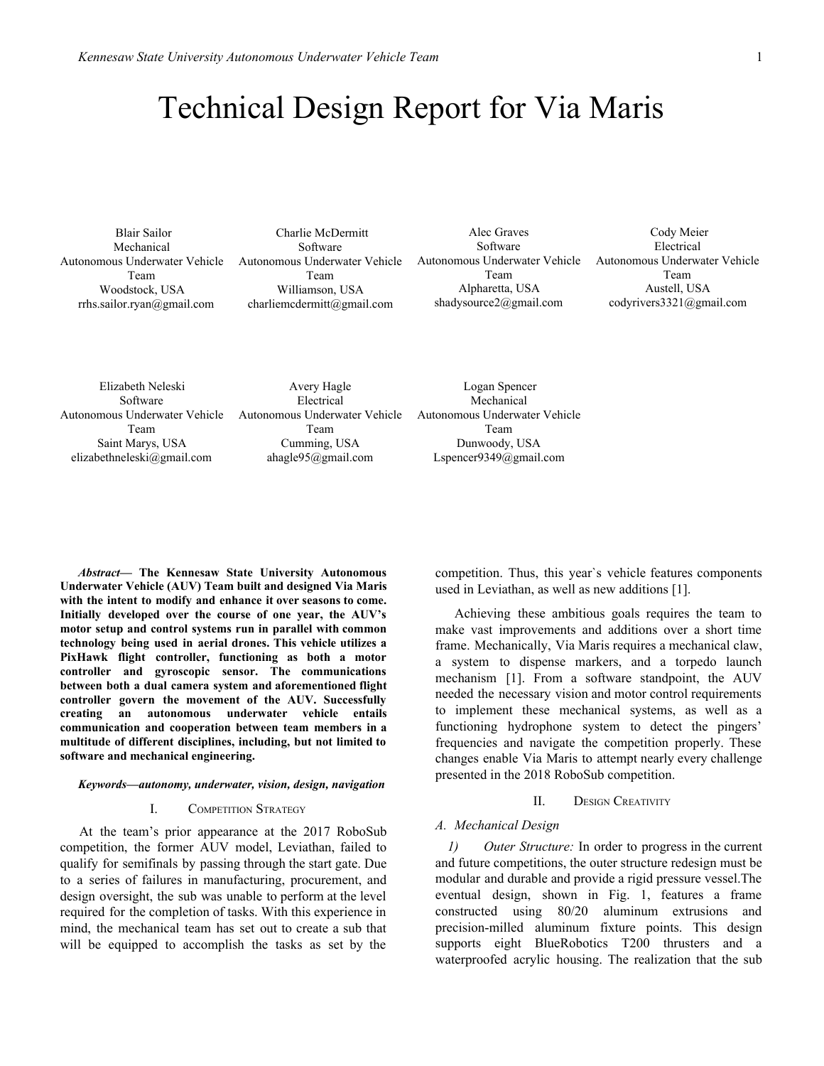# Technical Design Report for Via Maris

 Blair Sailor Mechanical Autonomous Underwater Vehicle Team Woodstock, USA rrhs.sailor.ryan@gmail.com

 Charlie McDermitt Software Autonomous Underwater Vehicle Team Williamson, USA charliemcdermitt@gmail.com

Alec Graves Software Autonomous Underwater Vehicle Team Alpharetta, USA shadysource2@gmail.com

 Cody Meier Electrical Autonomous Underwater Vehicle Team Austell, USA codyrivers3321@gmail.com

Elizabeth Neleski Software Autonomous Underwater Vehicle Team Saint Marys, USA elizabethneleski@gmail.com

Avery Hagle Electrical Autonomous Underwater Vehicle Team Cumming, USA ahagle95@gmail.com

 Logan Spencer Mechanical Autonomous Underwater Vehicle Team Dunwoody, USA Lspencer9349@gmail.com

*Abstract***— The Kennesaw State University Autonomous Underwater Vehicle (AUV) Team built and designed Via Maris with the intent to modify and enhance it over seasons to come. Initially developed over the course of one year, the AUV's motor setup and control systems run in parallel with common technology being used in aerial drones. This vehicle utilizes a PixHawk flight controller, functioning as both a motor controller and gyroscopic sensor. The communications between both a dual camera system and aforementioned flight controller govern the movement of the AUV. Successfully creating an autonomous underwater vehicle entails communication and cooperation between team members in a multitude of different disciplines, including, but not limited to software and mechanical engineering.**

#### *Keywords—autonomy, underwater, vision, design, navigation*

#### I. COMPETITION STRATEGY

At the team's prior appearance at the 2017 RoboSub competition, the former AUV model, Leviathan, failed to qualify for semifinals by passing through the start gate. Due to a series of failures in manufacturing, procurement, and design oversight, the sub was unable to perform at the level required for the completion of tasks. With this experience in mind, the mechanical team has set out to create a sub that will be equipped to accomplish the tasks as set by the

competition. Thus, this year`s vehicle features components used in Leviathan, as well as new additions [1].

Achieving these ambitious goals requires the team to make vast improvements and additions over a short time frame. Mechanically, Via Maris requires a mechanical claw, a system to dispense markers, and a torpedo launch mechanism [1]. From a software standpoint, the AUV needed the necessary vision and motor control requirements to implement these mechanical systems, as well as a functioning hydrophone system to detect the pingers' frequencies and navigate the competition properly. These changes enable Via Maris to attempt nearly every challenge presented in the 2018 RoboSub competition.

## II. DESIGN CREATIVITY

## *A. Mechanical Design*

*1) Outer Structure:* In order to progress in the current and future competitions, the outer structure redesign must be modular and durable and provide a rigid pressure vessel.The eventual design, shown in Fig. 1, features a frame constructed using 80/20 aluminum extrusions and precision-milled aluminum fixture points. This design supports eight BlueRobotics T200 thrusters and a waterproofed acrylic housing. The realization that the sub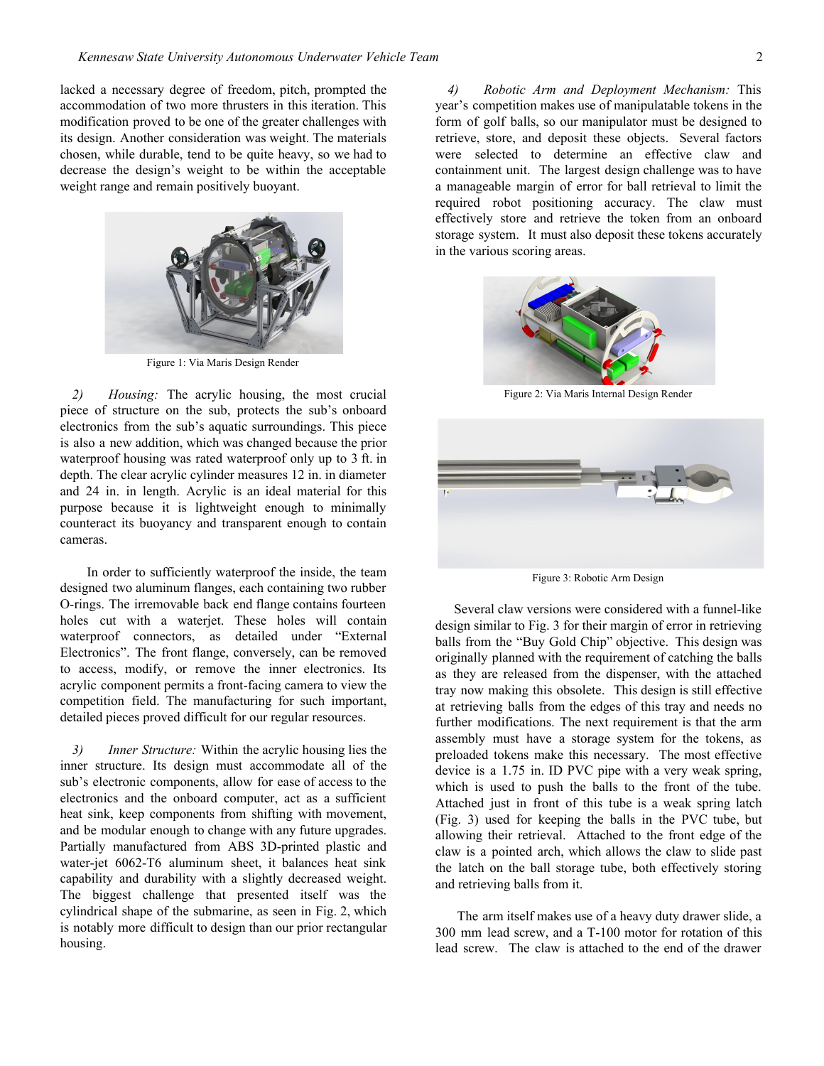lacked a necessary degree of freedom, pitch, prompted the accommodation of two more thrusters in this iteration. This modification proved to be one of the greater challenges with its design. Another consideration was weight. The materials chosen, while durable, tend to be quite heavy, so we had to decrease the design's weight to be within the acceptable weight range and remain positively buoyant.



Figure 1: Via Maris Design Render

*2) Housing:* The acrylic housing, the most crucial piece of structure on the sub, protects the sub's onboard electronics from the sub's aquatic surroundings. This piece is also a new addition, which was changed because the prior waterproof housing was rated waterproof only up to 3 ft. in depth. The clear acrylic cylinder measures 12 in. in diameter and 24 in. in length. Acrylic is an ideal material for this purpose because it is lightweight enough to minimally counteract its buoyancy and transparent enough to contain cameras.

In order to sufficiently waterproof the inside, the team designed two aluminum flanges, each containing two rubber O-rings. The irremovable back end flange contains fourteen holes cut with a waterjet. These holes will contain waterproof connectors, as detailed under "External Electronics". The front flange, conversely, can be removed to access, modify, or remove the inner electronics. Its acrylic component permits a front-facing camera to view the competition field. The manufacturing for such important, detailed pieces proved difficult for our regular resources.

*3) Inner Structure:* Within the acrylic housing lies the inner structure. Its design must accommodate all of the sub's electronic components, allow for ease of access to the electronics and the onboard computer, act as a sufficient heat sink, keep components from shifting with movement, and be modular enough to change with any future upgrades. Partially manufactured from ABS 3D-printed plastic and water-jet 6062-T6 aluminum sheet, it balances heat sink capability and durability with a slightly decreased weight. The biggest challenge that presented itself was the cylindrical shape of the submarine, as seen in Fig. 2, which is notably more difficult to design than our prior rectangular housing.

*4) Robotic Arm and Deployment Mechanism:* This year's competition makes use of manipulatable tokens in the form of golf balls, so our manipulator must be designed to retrieve, store, and deposit these objects. Several factors were selected to determine an effective claw and containment unit. The largest design challenge was to have a manageable margin of error for ball retrieval to limit the required robot positioning accuracy. The claw must effectively store and retrieve the token from an onboard storage system. It must also deposit these tokens accurately in the various scoring areas.



Figure 2: Via Maris Internal Design Render



Figure 3: Robotic Arm Design

Several claw versions were considered with a funnel-like design similar to Fig. 3 for their margin of error in retrieving balls from the "Buy Gold Chip" objective. This design was originally planned with the requirement of catching the balls as they are released from the dispenser, with the attached tray now making this obsolete. This design is still effective at retrieving balls from the edges of this tray and needs no further modifications. The next requirement is that the arm assembly must have a storage system for the tokens, as preloaded tokens make this necessary. The most effective device is a 1.75 in. ID PVC pipe with a very weak spring, which is used to push the balls to the front of the tube. Attached just in front of this tube is a weak spring latch (Fig. 3) used for keeping the balls in the PVC tube, but allowing their retrieval. Attached to the front edge of the claw is a pointed arch, which allows the claw to slide past the latch on the ball storage tube, both effectively storing and retrieving balls from it.

The arm itself makes use of a heavy duty drawer slide, a 300 mm lead screw, and a T-100 motor for rotation of this lead screw. The claw is attached to the end of the drawer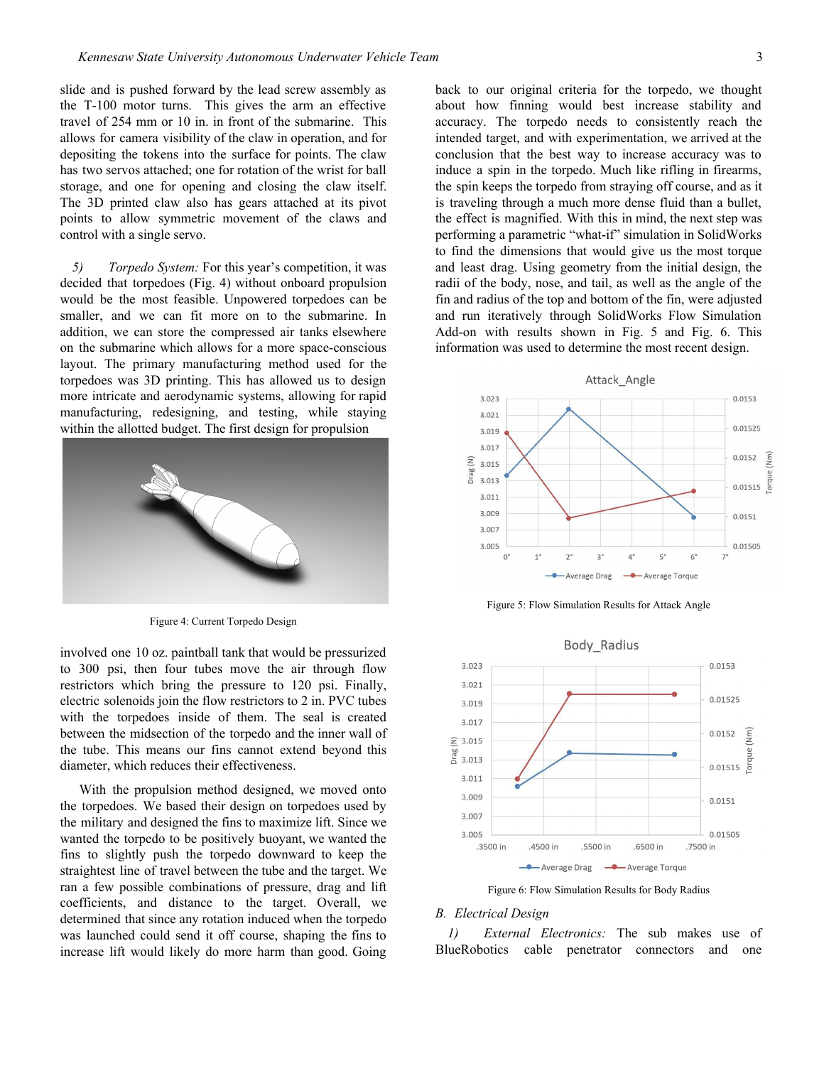slide and is pushed forward by the lead screw assembly as the T-100 motor turns. This gives the arm an effective travel of 254 mm or 10 in. in front of the submarine. This allows for camera visibility of the claw in operation, and for depositing the tokens into the surface for points. The claw has two servos attached; one for rotation of the wrist for ball storage, and one for opening and closing the claw itself. The 3D printed claw also has gears attached at its pivot points to allow symmetric movement of the claws and control with a single servo.

*5) Torpedo System:* For this year's competition, it was decided that torpedoes (Fig. 4) without onboard propulsion would be the most feasible. Unpowered torpedoes can be smaller, and we can fit more on to the submarine. In addition, we can store the compressed air tanks elsewhere on the submarine which allows for a more space-conscious layout. The primary manufacturing method used for the torpedoes was 3D printing. This has allowed us to design more intricate and aerodynamic systems, allowing for rapid manufacturing, redesigning, and testing, while staying within the allotted budget. The first design for propulsion



Figure 4: Current Torpedo Design

involved one 10 oz. paintball tank that would be pressurized to 300 psi, then four tubes move the air through flow restrictors which bring the pressure to 120 psi. Finally, electric solenoids join the flow restrictors to 2 in. PVC tubes with the torpedoes inside of them. The seal is created between the midsection of the torpedo and the inner wall of the tube. This means our fins cannot extend beyond this diameter, which reduces their effectiveness.

With the propulsion method designed, we moved onto the torpedoes. We based their design on torpedoes used by the military and designed the fins to maximize lift. Since we wanted the torpedo to be positively buoyant, we wanted the fins to slightly push the torpedo downward to keep the straightest line of travel between the tube and the target. We ran a few possible combinations of pressure, drag and lift coefficients, and distance to the target. Overall, we determined that since any rotation induced when the torpedo was launched could send it off course, shaping the fins to increase lift would likely do more harm than good. Going

back to our original criteria for the torpedo, we thought about how finning would best increase stability and accuracy. The torpedo needs to consistently reach the intended target, and with experimentation, we arrived at the conclusion that the best way to increase accuracy was to induce a spin in the torpedo. Much like rifling in firearms, the spin keeps the torpedo from straying off course, and as it is traveling through a much more dense fluid than a bullet, the effect is magnified. With this in mind, the next step was performing a parametric "what-if" simulation in SolidWorks to find the dimensions that would give us the most torque and least drag. Using geometry from the initial design, the radii of the body, nose, and tail, as well as the angle of the fin and radius of the top and bottom of the fin, were adjusted and run iteratively through SolidWorks Flow Simulation Add-on with results shown in Fig. 5 and Fig. 6. This information was used to determine the most recent design.



Figure 5: Flow Simulation Results for Attack Angle



Figure 6: Flow Simulation Results for Body Radius

## *B. Electrical Design*

*1) External Electronics:* The sub makes use of BlueRobotics cable penetrator connectors and one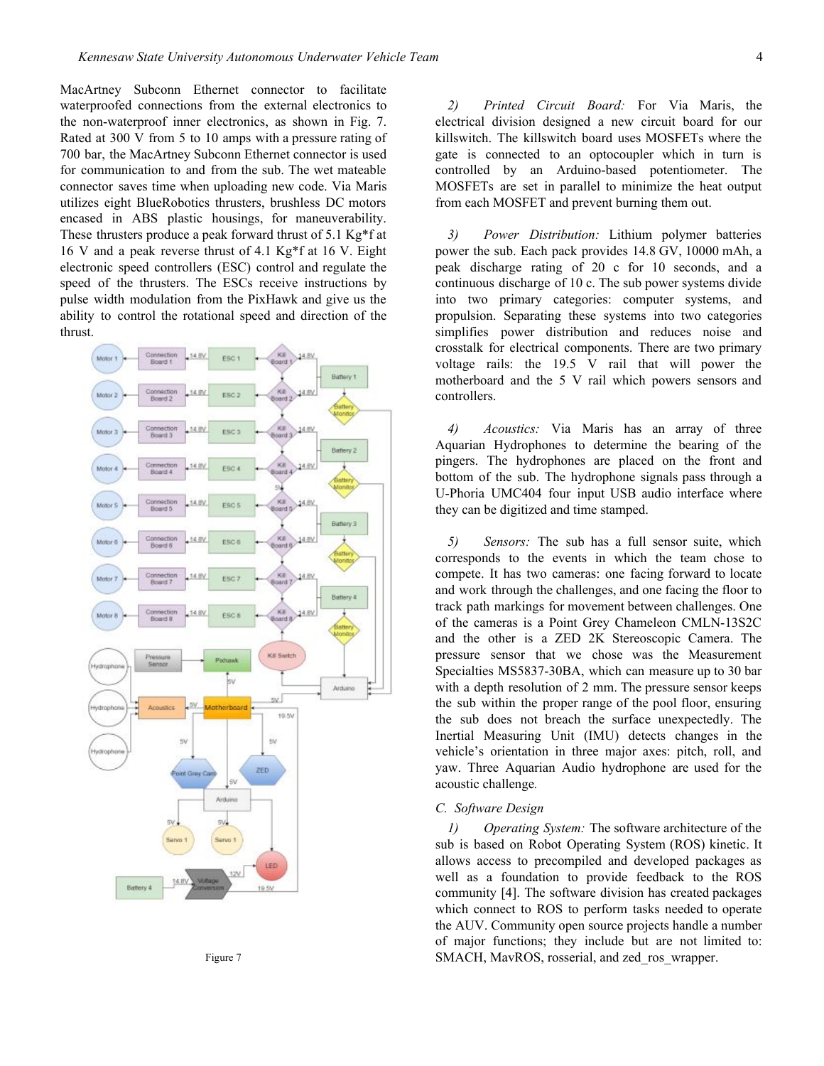MacArtney Subconn Ethernet connector to facilitate waterproofed connections from the external electronics to the non-waterproof inner electronics, as shown in Fig. 7. Rated at 300 V from 5 to 10 amps with a pressure rating of 700 bar, the MacArtney Subconn Ethernet connector is used for communication to and from the sub. The wet mateable connector saves time when uploading new code. Via Maris utilizes eight BlueRobotics thrusters, brushless DC motors encased in ABS plastic housings, for maneuverability. These thrusters produce a peak forward thrust of 5.1 Kg\*f at 16 V and a peak reverse thrust of 4.1 Kg\*f at 16 V. Eight electronic speed controllers (ESC) control and regulate the speed of the thrusters. The ESCs receive instructions by pulse width modulation from the PixHawk and give us the ability to control the rotational speed and direction of the thrust.





*2) Printed Circuit Board:* For Via Maris, the electrical division designed a new circuit board for our killswitch. The killswitch board uses MOSFETs where the gate is connected to an optocoupler which in turn is controlled by an Arduino-based potentiometer. The MOSFETs are set in parallel to minimize the heat output from each MOSFET and prevent burning them out.

*3) Power Distribution:* Lithium polymer batteries power the sub. Each pack provides 14.8 GV, 10000 mAh, a peak discharge rating of 20 c for 10 seconds, and a continuous discharge of 10 c. The sub power systems divide into two primary categories: computer systems, and propulsion. Separating these systems into two categories simplifies power distribution and reduces noise and crosstalk for electrical components. There are two primary voltage rails: the 19.5 V rail that will power the motherboard and the 5 V rail which powers sensors and controllers.

*4) Acoustics:* Via Maris has an array of three Aquarian Hydrophones to determine the bearing of the pingers. The hydrophones are placed on the front and bottom of the sub. The hydrophone signals pass through a U-Phoria UMC404 four input USB audio interface where they can be digitized and time stamped.

*5) Sensors:* The sub has a full sensor suite, which corresponds to the events in which the team chose to compete. It has two cameras: one facing forward to locate and work through the challenges, and one facing the floor to track path markings for movement between challenges. One of the cameras is a Point Grey Chameleon CMLN-13S2C and the other is a ZED 2K Stereoscopic Camera. The pressure sensor that we chose was the Measurement Specialties MS5837-30BA, which can measure up to 30 bar with a depth resolution of 2 mm. The pressure sensor keeps the sub within the proper range of the pool floor, ensuring the sub does not breach the surface unexpectedly. The Inertial Measuring Unit (IMU) detects changes in the vehicle's orientation in three major axes: pitch, roll, and yaw. Three Aquarian Audio hydrophone are used for the acoustic challenge*.*

### *C. Software Design*

*1) Operating System:* The software architecture of the sub is based on Robot Operating System (ROS) kinetic. It allows access to precompiled and developed packages as well as a foundation to provide feedback to the ROS community [4]. The software division has created packages which connect to ROS to perform tasks needed to operate the AUV. Community open source projects handle a number of major functions; they include but are not limited to: SMACH, MavROS, rosserial, and zed\_ros\_wrapper.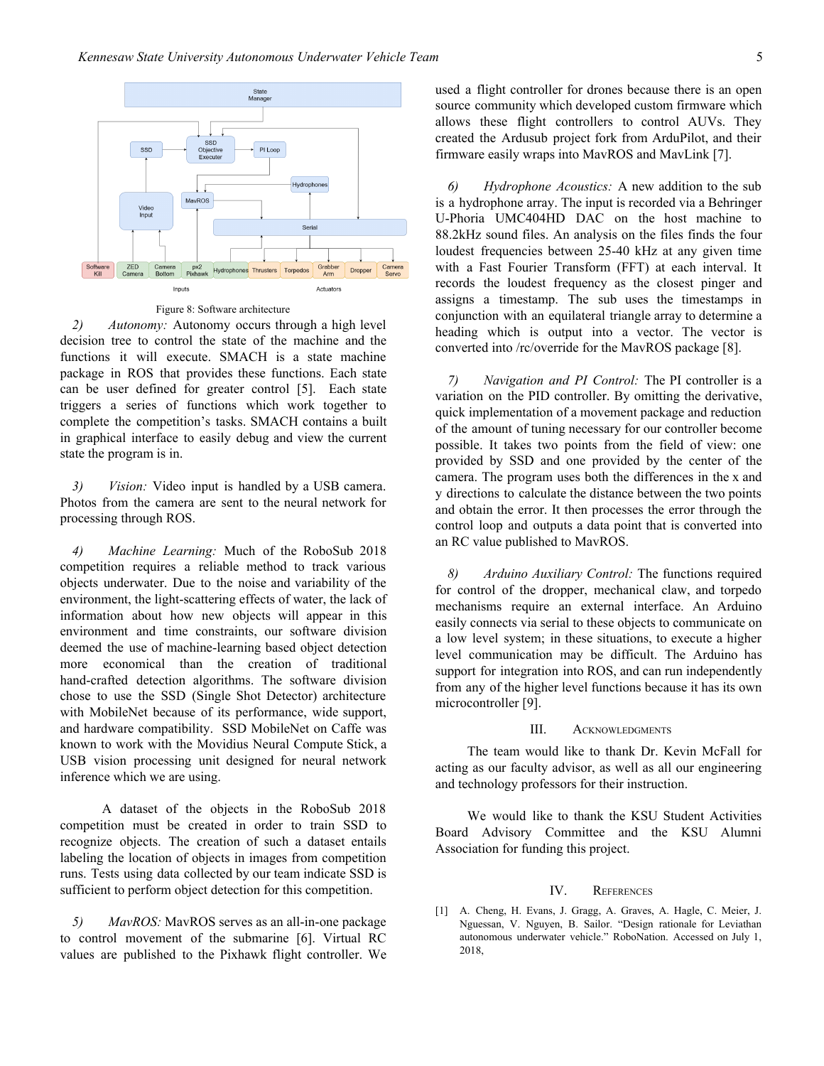

Figure 8: Software architecture

*2) Autonomy:* Autonomy occurs through a high level decision tree to control the state of the machine and the functions it will execute. SMACH is a state machine package in ROS that provides these functions. Each state can be user defined for greater control [5]. Each state triggers a series of functions which work together to complete the competition's tasks. SMACH contains a built in graphical interface to easily debug and view the current state the program is in.

*3) Vision:* Video input is handled by a USB camera. Photos from the camera are sent to the neural network for processing through ROS.

*4) Machine Learning:* Much of the RoboSub 2018 competition requires a reliable method to track various objects underwater. Due to the noise and variability of the environment, the light-scattering effects of water, the lack of information about how new objects will appear in this environment and time constraints, our software division deemed the use of machine-learning based object detection more economical than the creation of traditional hand-crafted detection algorithms. The software division chose to use the SSD (Single Shot Detector) architecture with MobileNet because of its performance, wide support, and hardware compatibility. SSD MobileNet on Caffe was known to work with the Movidius Neural Compute Stick, a USB vision processing unit designed for neural network inference which we are using.

A dataset of the objects in the RoboSub 2018 competition must be created in order to train SSD to recognize objects. The creation of such a dataset entails labeling the location of objects in images from competition runs. Tests using data collected by our team indicate SSD is sufficient to perform object detection for this competition.

*5) MavROS:* MavROS serves as an all-in-one package to control movement of the submarine [6]. Virtual RC values are published to the Pixhawk flight controller. We

used a flight controller for drones because there is an open source community which developed custom firmware which allows these flight controllers to control AUVs. They created the Ardusub project fork from ArduPilot, and their firmware easily wraps into MavROS and MavLink [7].

*6) Hydrophone Acoustics:* A new addition to the sub is a hydrophone array. The input is recorded via a Behringer U-Phoria UMC404HD DAC on the host machine to 88.2kHz sound files. An analysis on the files finds the four loudest frequencies between 25-40 kHz at any given time with a Fast Fourier Transform (FFT) at each interval. It records the loudest frequency as the closest pinger and assigns a timestamp. The sub uses the timestamps in conjunction with an equilateral triangle array to determine a heading which is output into a vector. The vector is converted into /rc/override for the MavROS package [8].

*7) Navigation and PI Control:* The PI controller is a variation on the PID controller. By omitting the derivative, quick implementation of a movement package and reduction of the amount of tuning necessary for our controller become possible. It takes two points from the field of view: one provided by SSD and one provided by the center of the camera. The program uses both the differences in the x and y directions to calculate the distance between the two points and obtain the error. It then processes the error through the control loop and outputs a data point that is converted into an RC value published to MavROS.

*8) Arduino Auxiliary Control:* The functions required for control of the dropper, mechanical claw, and torpedo mechanisms require an external interface. An Arduino easily connects via serial to these objects to communicate on a low level system; in these situations, to execute a higher level communication may be difficult. The Arduino has support for integration into ROS, and can run independently from any of the higher level functions because it has its own microcontroller [9].

## III. **ACKNOWLEDGMENTS**

The team would like to thank Dr. Kevin McFall for acting as our faculty advisor, as well as all our engineering and technology professors for their instruction.

We would like to thank the KSU Student Activities Board Advisory Committee and the KSU Alumni Association for funding this project.

#### IV. REFERENCES

[1] A. Cheng, H. Evans, J. Gragg, A. Graves, A. Hagle, C. Meier, J. Nguessan, V. Nguyen, B. Sailor. "Design rationale for Leviathan autonomous underwater vehicle." RoboNation. Accessed on July 1, 2018,